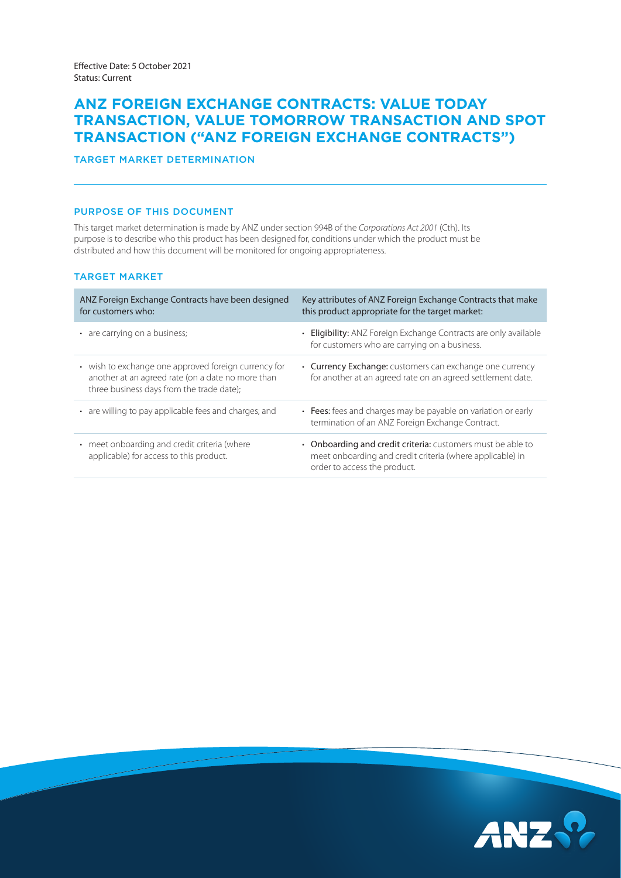# **ANZ FOREIGN EXCHANGE CONTRACTS: VALUE TODAY TRANSACTION, VALUE TOMORROW TRANSACTION AND SPOT TRANSACTION ("ANZ FOREIGN EXCHANGE CONTRACTS")**

# TARGET MARKET DETERMINATION

### PURPOSE OF THIS DOCUMENT

 purpose is to describe who this product has been designed for, conditions under which the product must be This target market determination is made by ANZ under section 994B of the *Corporations Act 2001* (Cth). Its distributed and how this document will be monitored for ongoing appropriateness.

# TARGET MARKET

| ANZ Foreign Exchange Contracts have been designed<br>for customers who:                                                                                | Key attributes of ANZ Foreign Exchange Contracts that make<br>this product appropriate for the target market:                                            |
|--------------------------------------------------------------------------------------------------------------------------------------------------------|----------------------------------------------------------------------------------------------------------------------------------------------------------|
| • are carrying on a business;                                                                                                                          | • Eligibility: ANZ Foreign Exchange Contracts are only available<br>for customers who are carrying on a business.                                        |
| • wish to exchange one approved foreign currency for<br>another at an agreed rate (on a date no more than<br>three business days from the trade date); | • Currency Exchange: customers can exchange one currency<br>for another at an agreed rate on an agreed settlement date.                                  |
| • are willing to pay applicable fees and charges; and                                                                                                  | • Fees: fees and charges may be payable on variation or early<br>termination of an ANZ Foreign Exchange Contract.                                        |
| • meet onboarding and credit criteria (where<br>applicable) for access to this product.                                                                | • Onboarding and credit criteria: customers must be able to<br>meet onboarding and credit criteria (where applicable) in<br>order to access the product. |

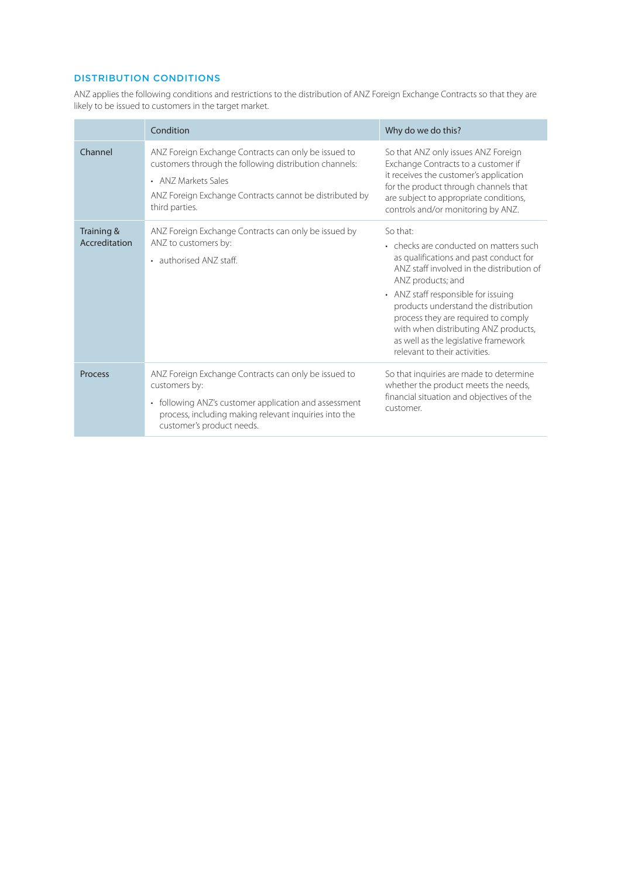# DISTRIBUTION CONDITIONS

ANZ applies the following conditions and restrictions to the distribution of ANZ Foreign Exchange Contracts so that they are likely to be issued to customers in the target market.

|                             | Condition                                                                                                                                                                                                            | Why do we do this?                                                                                                                                                                                                                                                                                                                                                                                    |
|-----------------------------|----------------------------------------------------------------------------------------------------------------------------------------------------------------------------------------------------------------------|-------------------------------------------------------------------------------------------------------------------------------------------------------------------------------------------------------------------------------------------------------------------------------------------------------------------------------------------------------------------------------------------------------|
| Channel                     | ANZ Foreign Exchange Contracts can only be issued to<br>customers through the following distribution channels:<br>• ANZ Markets Sales<br>ANZ Foreign Exchange Contracts cannot be distributed by<br>third parties.   | So that ANZ only issues ANZ Foreign<br>Exchange Contracts to a customer if<br>it receives the customer's application<br>for the product through channels that<br>are subject to appropriate conditions,<br>controls and/or monitoring by ANZ.                                                                                                                                                         |
| Training &<br>Accreditation | ANZ Foreign Exchange Contracts can only be issued by<br>ANZ to customers by:<br>• authorised ANZ staff.                                                                                                              | So that:<br>• checks are conducted on matters such<br>as qualifications and past conduct for<br>ANZ staff involved in the distribution of<br>ANZ products; and<br>• ANZ staff responsible for issuing<br>products understand the distribution<br>process they are required to comply<br>with when distributing ANZ products,<br>as well as the legislative framework<br>relevant to their activities. |
| Process                     | ANZ Foreign Exchange Contracts can only be issued to<br>customers by:<br>• following ANZ's customer application and assessment<br>process, including making relevant inquiries into the<br>customer's product needs. | So that inquiries are made to determine<br>whether the product meets the needs,<br>financial situation and objectives of the<br>customer.                                                                                                                                                                                                                                                             |